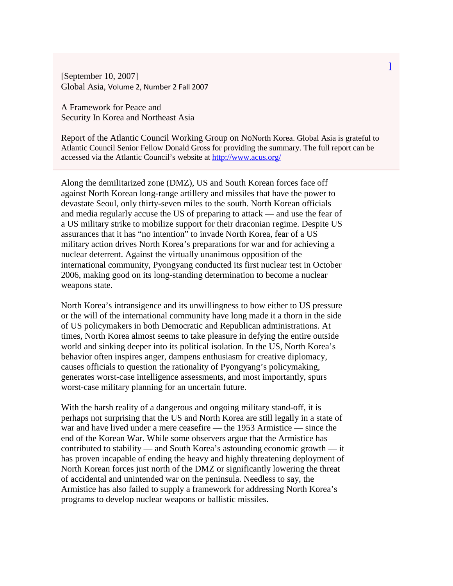[September 10, 2007] Global Asia, Volume 2, Number 2 Fall 2007

A Framework for Peace and Security In Korea and Northeast Asia

Report of the Atlantic Council Working Group on NoNorth Korea. Global Asia is grateful to Atlantic Council Senior Fellow Donald Gross for providing the summary. The full report can be accessed via the Atlantic Council's website at<http://www.acus.org/>

Along the demilitarized zone (DMZ), US and South Korean forces face off against North Korean long-range artillery and missiles that have the power to devastate Seoul, only thirty-seven miles to the south. North Korean officials and media regularly accuse the US of preparing to attack — and use the fear of a US military strike to mobilize support for their draconian regime. Despite US assurances that it has "no intention" to invade North Korea, fear of a US military action drives North Korea's preparations for war and for achieving a nuclear deterrent. Against the virtually unanimous opposition of the international community, Pyongyang conducted its first nuclear test in October 2006, making good on its long-standing determination to become a nuclear weapons state.

North Korea's intransigence and its unwillingness to bow either to US pressure or the will of the international community have long made it a thorn in the side of US policymakers in both Democratic and Republican administrations. At times, North Korea almost seems to take pleasure in defying the entire outside world and sinking deeper into its political isolation. In the US, North Korea's behavior often inspires anger, dampens enthusiasm for creative diplomacy, causes officials to question the rationality of Pyongyang's policymaking, generates worst-case intelligence assessments, and most importantly, spurs worst-case military planning for an uncertain future.

With the harsh reality of a dangerous and ongoing military stand-off, it is perhaps not surprising that the US and North Korea are still legally in a state of war and have lived under a mere ceasefire — the 1953 Armistice — since the end of the Korean War. While some observers argue that the Armistice has contributed to stability — and South Korea's astounding economic growth — it has proven incapable of ending the heavy and highly threatening deployment of North Korean forces just north of the DMZ or significantly lowering the threat of accidental and unintended war on the peninsula. Needless to say, the Armistice has also failed to supply a framework for addressing North Korea's programs to develop nuclear weapons or ballistic missiles.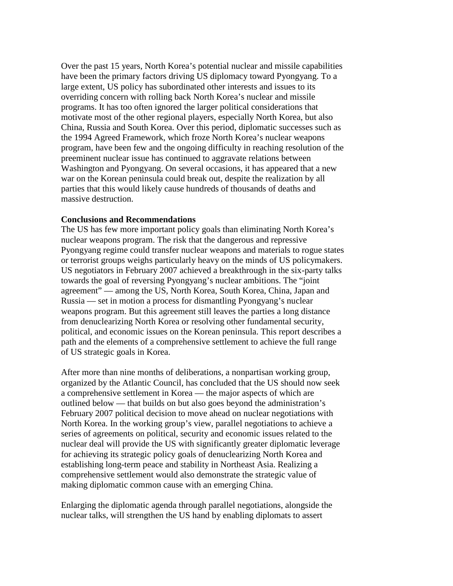Over the past 15 years, North Korea's potential nuclear and missile capabilities have been the primary factors driving US diplomacy toward Pyongyang. To a large extent, US policy has subordinated other interests and issues to its overriding concern with rolling back North Korea's nuclear and missile programs. It has too often ignored the larger political considerations that motivate most of the other regional players, especially North Korea, but also China, Russia and South Korea. Over this period, diplomatic successes such as the 1994 Agreed Framework, which froze North Korea's nuclear weapons program, have been few and the ongoing difficulty in reaching resolution of the preeminent nuclear issue has continued to aggravate relations between Washington and Pyongyang. On several occasions, it has appeared that a new war on the Korean peninsula could break out, despite the realization by all parties that this would likely cause hundreds of thousands of deaths and massive destruction.

## **Conclusions and Recommendations**

The US has few more important policy goals than eliminating North Korea's nuclear weapons program. The risk that the dangerous and repressive Pyongyang regime could transfer nuclear weapons and materials to rogue states or terrorist groups weighs particularly heavy on the minds of US policymakers. US negotiators in February 2007 achieved a breakthrough in the six-party talks towards the goal of reversing Pyongyang's nuclear ambitions. The "joint agreement" — among the US, North Korea, South Korea, China, Japan and Russia — set in motion a process for dismantling Pyongyang's nuclear weapons program. But this agreement still leaves the parties a long distance from denuclearizing North Korea or resolving other fundamental security, political, and economic issues on the Korean peninsula. This report describes a path and the elements of a comprehensive settlement to achieve the full range of US strategic goals in Korea.

After more than nine months of deliberations, a nonpartisan working group, organized by the Atlantic Council, has concluded that the US should now seek a comprehensive settlement in Korea — the major aspects of which are outlined below — that builds on but also goes beyond the administration's February 2007 political decision to move ahead on nuclear negotiations with North Korea. In the working group's view, parallel negotiations to achieve a series of agreements on political, security and economic issues related to the nuclear deal will provide the US with significantly greater diplomatic leverage for achieving its strategic policy goals of denuclearizing North Korea and establishing long-term peace and stability in Northeast Asia. Realizing a comprehensive settlement would also demonstrate the strategic value of making diplomatic common cause with an emerging China.

Enlarging the diplomatic agenda through parallel negotiations, alongside the nuclear talks, will strengthen the US hand by enabling diplomats to assert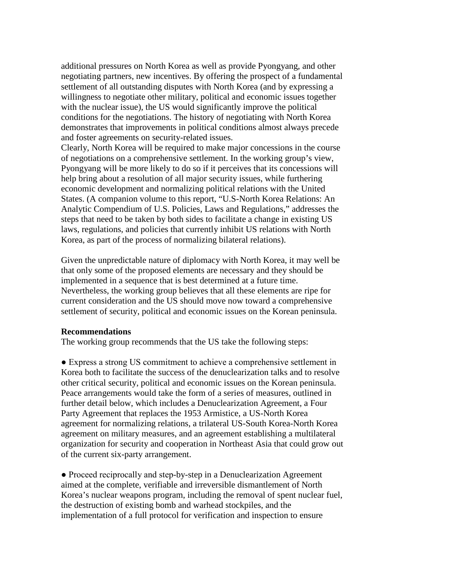additional pressures on North Korea as well as provide Pyongyang, and other negotiating partners, new incentives. By offering the prospect of a fundamental settlement of all outstanding disputes with North Korea (and by expressing a willingness to negotiate other military, political and economic issues together with the nuclear issue), the US would significantly improve the political conditions for the negotiations. The history of negotiating with North Korea demonstrates that improvements in political conditions almost always precede and foster agreements on security-related issues.

Clearly, North Korea will be required to make major concessions in the course of negotiations on a comprehensive settlement. In the working group's view, Pyongyang will be more likely to do so if it perceives that its concessions will help bring about a resolution of all major security issues, while furthering economic development and normalizing political relations with the United States. (A companion volume to this report, "U.S-North Korea Relations: An Analytic Compendium of U.S. Policies, Laws and Regulations," addresses the steps that need to be taken by both sides to facilitate a change in existing US laws, regulations, and policies that currently inhibit US relations with North Korea, as part of the process of normalizing bilateral relations).

Given the unpredictable nature of diplomacy with North Korea, it may well be that only some of the proposed elements are necessary and they should be implemented in a sequence that is best determined at a future time. Nevertheless, the working group believes that all these elements are ripe for current consideration and the US should move now toward a comprehensive settlement of security, political and economic issues on the Korean peninsula.

## **Recommendations**

The working group recommends that the US take the following steps:

● Express a strong US commitment to achieve a comprehensive settlement in Korea both to facilitate the success of the denuclearization talks and to resolve other critical security, political and economic issues on the Korean peninsula. Peace arrangements would take the form of a series of measures, outlined in further detail below, which includes a Denuclearization Agreement, a Four Party Agreement that replaces the 1953 Armistice, a US-North Korea agreement for normalizing relations, a trilateral US-South Korea-North Korea agreement on military measures, and an agreement establishing a multilateral organization for security and cooperation in Northeast Asia that could grow out of the current six-party arrangement.

• Proceed reciprocally and step-by-step in a Denuclearization Agreement aimed at the complete, verifiable and irreversible dismantlement of North Korea's nuclear weapons program, including the removal of spent nuclear fuel, the destruction of existing bomb and warhead stockpiles, and the implementation of a full protocol for verification and inspection to ensure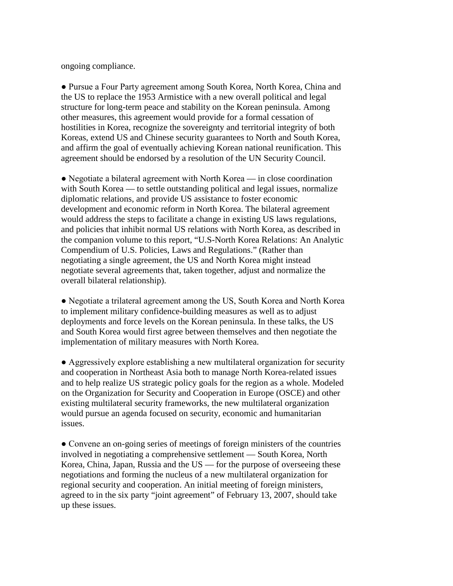ongoing compliance.

● Pursue a Four Party agreement among South Korea, North Korea, China and the US to replace the 1953 Armistice with a new overall political and legal structure for long-term peace and stability on the Korean peninsula. Among other measures, this agreement would provide for a formal cessation of hostilities in Korea, recognize the sovereignty and territorial integrity of both Koreas, extend US and Chinese security guarantees to North and South Korea, and affirm the goal of eventually achieving Korean national reunification. This agreement should be endorsed by a resolution of the UN Security Council.

• Negotiate a bilateral agreement with North Korea — in close coordination with South Korea — to settle outstanding political and legal issues, normalize diplomatic relations, and provide US assistance to foster economic development and economic reform in North Korea. The bilateral agreement would address the steps to facilitate a change in existing US laws regulations, and policies that inhibit normal US relations with North Korea, as described in the companion volume to this report, "U.S-North Korea Relations: An Analytic Compendium of U.S. Policies, Laws and Regulations." (Rather than negotiating a single agreement, the US and North Korea might instead negotiate several agreements that, taken together, adjust and normalize the overall bilateral relationship).

● Negotiate a trilateral agreement among the US, South Korea and North Korea to implement military confidence-building measures as well as to adjust deployments and force levels on the Korean peninsula. In these talks, the US and South Korea would first agree between themselves and then negotiate the implementation of military measures with North Korea.

● Aggressively explore establishing a new multilateral organization for security and cooperation in Northeast Asia both to manage North Korea-related issues and to help realize US strategic policy goals for the region as a whole. Modeled on the Organization for Security and Cooperation in Europe (OSCE) and other existing multilateral security frameworks, the new multilateral organization would pursue an agenda focused on security, economic and humanitarian issues.

● Convene an on-going series of meetings of foreign ministers of the countries involved in negotiating a comprehensive settlement — South Korea, North Korea, China, Japan, Russia and the US — for the purpose of overseeing these negotiations and forming the nucleus of a new multilateral organization for regional security and cooperation. An initial meeting of foreign ministers, agreed to in the six party "joint agreement" of February 13, 2007, should take up these issues.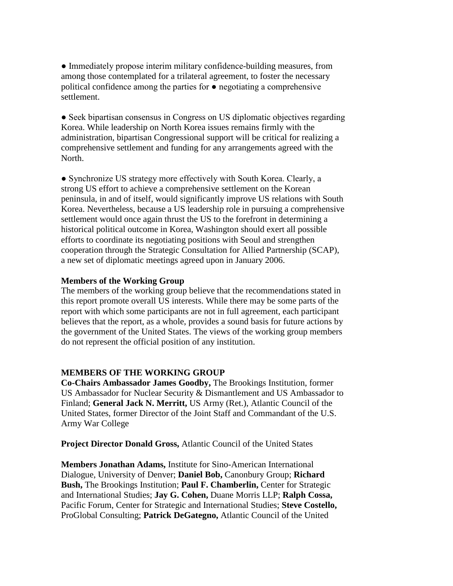● Immediately propose interim military confidence-building measures, from among those contemplated for a trilateral agreement, to foster the necessary political confidence among the parties for ● negotiating a comprehensive settlement.

• Seek bipartisan consensus in Congress on US diplomatic objectives regarding Korea. While leadership on North Korea issues remains firmly with the administration, bipartisan Congressional support will be critical for realizing a comprehensive settlement and funding for any arrangements agreed with the North.

● Synchronize US strategy more effectively with South Korea. Clearly, a strong US effort to achieve a comprehensive settlement on the Korean peninsula, in and of itself, would significantly improve US relations with South Korea. Nevertheless, because a US leadership role in pursuing a comprehensive settlement would once again thrust the US to the forefront in determining a historical political outcome in Korea, Washington should exert all possible efforts to coordinate its negotiating positions with Seoul and strengthen cooperation through the Strategic Consultation for Allied Partnership (SCAP), a new set of diplomatic meetings agreed upon in January 2006.

## **Members of the Working Group**

The members of the working group believe that the recommendations stated in this report promote overall US interests. While there may be some parts of the report with which some participants are not in full agreement, each participant believes that the report, as a whole, provides a sound basis for future actions by the government of the United States. The views of the working group members do not represent the official position of any institution.

## **MEMBERS OF THE WORKING GROUP**

**Co-Chairs Ambassador James Goodby,** The Brookings Institution, former US Ambassador for Nuclear Security & Dismantlement and US Ambassador to Finland; **General Jack N. Merritt,** US Army (Ret.), Atlantic Council of the United States, former Director of the Joint Staff and Commandant of the U.S. Army War College

**Project Director Donald Gross,** Atlantic Council of the United States

**Members Jonathan Adams,** Institute for Sino-American International Dialogue, University of Denver; **Daniel Bob,** Canonbury Group; **Richard Bush,** The Brookings Institution; **Paul F. Chamberlin,** Center for Strategic and International Studies; **Jay G. Cohen,** Duane Morris LLP; **Ralph Cossa,** Pacific Forum, Center for Strategic and International Studies; **Steve Costello,** ProGlobal Consulting; **Patrick DeGategno,** Atlantic Council of the United